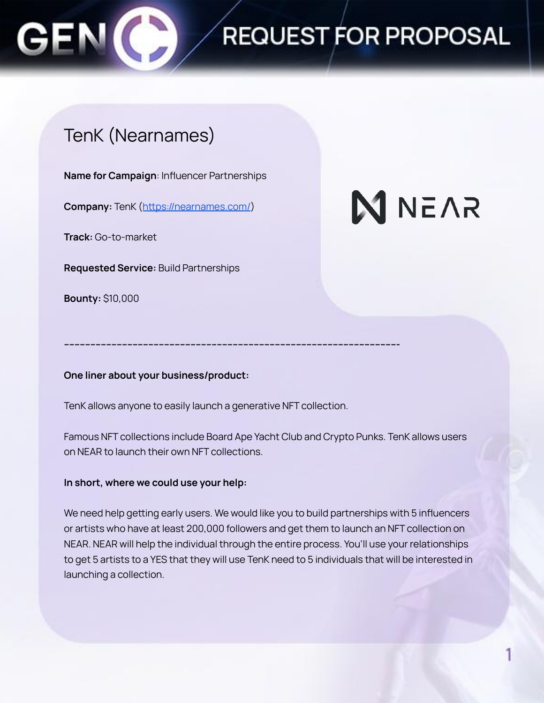

## REQUEST FOR PROPOSAL

### TenK (Nearnames)

**Name for Campaign**: Influencer Partnerships

**Company:** TenK (<https://nearnames.com/>)

**Track:** Go-to-market

**Requested Service:** Build Partnerships

**Bounty:** \$10,000

# **N** NEAR

**One liner about your business/product:**

TenK allows anyone to easily launch a generative NFT collection.

**------------------------------------------------------------------------------------------------------------------------------**

Famous NFT collections include Board Ape Yacht Club and Crypto Punks. TenK allows users on NEAR to launch their own NFT collections.

### **In short, where we could use your help:**

We need help getting early users. We would like you to build partnerships with 5 influencers or artists who have at least 200,000 followers and get them to launch an NFT collection on NEAR. NEAR will help the individual through the entire process. You'll use your relationships to get 5 artists to a YES that they will use TenK need to 5 individuals that will be interested in launching a collection.